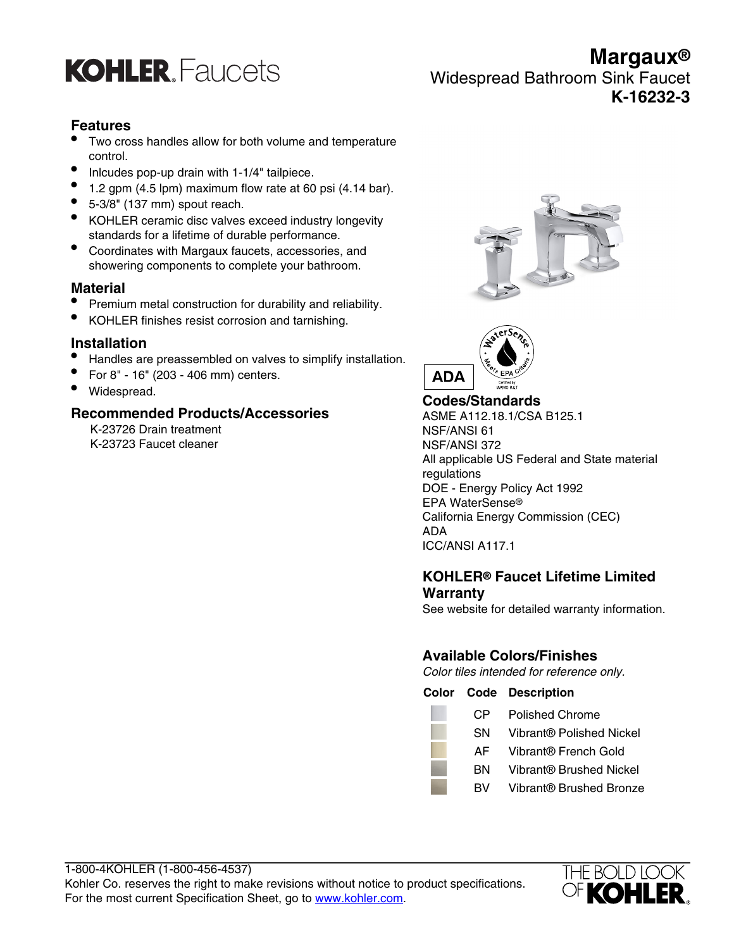

**Margaux®** Widespread Bathroom Sink Faucet **K-16232-3**

## **Features**

- Two cross handles allow for both volume and temperature control.
- Inlcudes pop-up drain with 1-1/4" tailpiece.
- $\bullet$  1.2 gpm (4.5 lpm) maximum flow rate at 60 psi (4.14 bar).
- $\bullet$  5-3/8" (137 mm) spout reach.
- KOHLER ceramic disc valves exceed industry longevity standards for a lifetime of durable performance.
- Coordinates with Margaux faucets, accessories, and showering components to complete your bathroom.

## **Material**

- Premium metal construction for durability and reliability.
- KOHLER finishes resist corrosion and tarnishing.

## **Installation**

- Handles are preassembled on valves to simplify installation.
- For 8" 16" (203 406 mm) centers.
- Widespread.

## **Recommended Products/Accessories**

K-23726 Drain treatment K-23723 Faucet cleaner





**Codes/Standards** ASME A112.18.1/CSA B125.1 NSF/ANSI 61 NSF/ANSI 372 All applicable US Federal and State material regulations DOE - Energy Policy Act 1992 EPA WaterSense® California Energy Commission (CEC) ADA ICC/ANSI A117.1

## **KOHLER® Faucet Lifetime Limited Warranty**

See website for detailed warranty information.

## **Available Colors/Finishes**

Color tiles intended for reference only.

**Color Code Description** CP Polished Chrome SN Vibrant® Polished Nickel

- AF Vibrant® French Gold
- BN Vibrant® Brushed Nickel
- BV Vibrant® Brushed Bronze